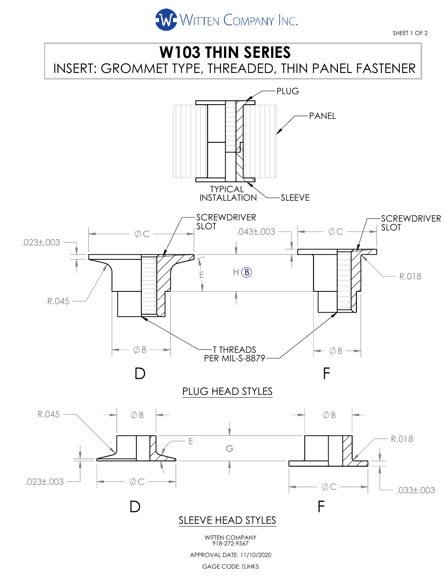



GAGE CODE: 0JHK5